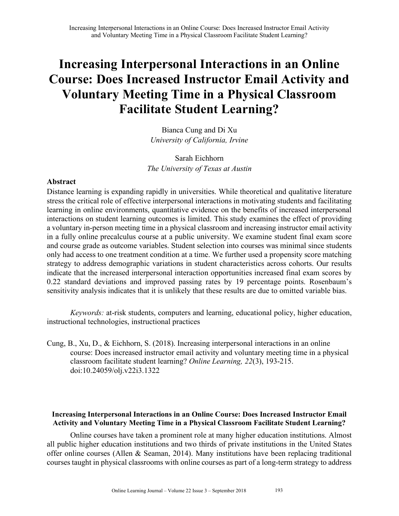Bianca Cung and Di Xu *University of California, Irvine*

# Sarah Eichhorn *The University of Texas at Austin*

## **Abstract**

Distance learning is expanding rapidly in universities. While theoretical and qualitative literature stress the critical role of effective interpersonal interactions in motivating students and facilitating learning in online environments, quantitative evidence on the benefits of increased interpersonal interactions on student learning outcomes is limited. This study examines the effect of providing a voluntary in-person meeting time in a physical classroom and increasing instructor email activity in a fully online precalculus course at a public university. We examine student final exam score and course grade as outcome variables. Student selection into courses was minimal since students only had access to one treatment condition at a time. We further used a propensity score matching strategy to address demographic variations in student characteristics across cohorts. Our results indicate that the increased interpersonal interaction opportunities increased final exam scores by 0.22 standard deviations and improved passing rates by 19 percentage points. Rosenbaum's sensitivity analysis indicates that it is unlikely that these results are due to omitted variable bias.

*Keywords:* at-risk students, computers and learning, educational policy, higher education, instructional technologies, instructional practices

Cung, B., Xu, D., & Eichhorn, S. (2018). Increasing interpersonal interactions in an online course: Does increased instructor email activity and voluntary meeting time in a physical classroom facilitate student learning? *Online Learning, 22*(3), 193-215. doi:10.24059/olj.v22i3.1322

## **Increasing Interpersonal Interactions in an Online Course: Does Increased Instructor Email Activity and Voluntary Meeting Time in a Physical Classroom Facilitate Student Learning?**

Online courses have taken a prominent role at many higher education institutions. Almost all public higher education institutions and two thirds of private institutions in the United States offer online courses (Allen & Seaman, 2014). Many institutions have been replacing traditional courses taught in physical classrooms with online courses as part of a long-term strategy to address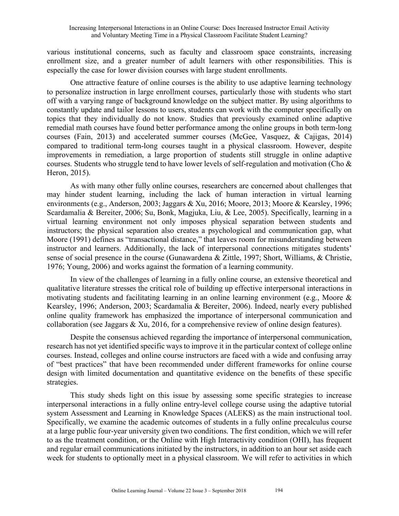various institutional concerns, such as faculty and classroom space constraints, increasing enrollment size, and a greater number of adult learners with other responsibilities. This is especially the case for lower division courses with large student enrollments.

One attractive feature of online courses is the ability to use adaptive learning technology to personalize instruction in large enrollment courses, particularly those with students who start off with a varying range of background knowledge on the subject matter. By using algorithms to constantly update and tailor lessons to users, students can work with the computer specifically on topics that they individually do not know. Studies that previously examined online adaptive remedial math courses have found better performance among the online groups in both term-long courses (Fain, 2013) and accelerated summer courses (McGee, Vasquez, & Cajigas, 2014) compared to traditional term-long courses taught in a physical classroom. However, despite improvements in remediation, a large proportion of students still struggle in online adaptive courses. Students who struggle tend to have lower levels of self-regulation and motivation (Cho & Heron, 2015).

As with many other fully online courses, researchers are concerned about challenges that may hinder student learning, including the lack of human interaction in virtual learning environments (e.g., Anderson, 2003; Jaggars & Xu, 2016; Moore, 2013; Moore & Kearsley, 1996; Scardamalia & Bereiter, 2006; Su, Bonk, Magjuka, Liu, & Lee, 2005). Specifically, learning in a virtual learning environment not only imposes physical separation between students and instructors; the physical separation also creates a psychological and communication gap, what Moore (1991) defines as "transactional distance," that leaves room for misunderstanding between instructor and learners. Additionally, the lack of interpersonal connections mitigates students' sense of social presence in the course (Gunawardena & Zittle, 1997; Short, Williams, & Christie, 1976; Young, 2006) and works against the formation of a learning community.

In view of the challenges of learning in a fully online course, an extensive theoretical and qualitative literature stresses the critical role of building up effective interpersonal interactions in motivating students and facilitating learning in an online learning environment (e.g., Moore & Kearsley, 1996; Anderson, 2003; Scardamalia & Bereiter, 2006). Indeed, nearly every published online quality framework has emphasized the importance of interpersonal communication and collaboration (see Jaggars & Xu, 2016, for a comprehensive review of online design features).

Despite the consensus achieved regarding the importance of interpersonal communication, research has not yet identified specific ways to improve it in the particular context of college online courses. Instead, colleges and online course instructors are faced with a wide and confusing array of "best practices" that have been recommended under different frameworks for online course design with limited documentation and quantitative evidence on the benefits of these specific strategies.

This study sheds light on this issue by assessing some specific strategies to increase interpersonal interactions in a fully online entry-level college course using the adaptive tutorial system Assessment and Learning in Knowledge Spaces (ALEKS) as the main instructional tool. Specifically, we examine the academic outcomes of students in a fully online precalculus course at a large public four-year university given two conditions. The first condition, which we will refer to as the treatment condition, or the Online with High Interactivity condition (OHI), has frequent and regular email communications initiated by the instructors, in addition to an hour set aside each week for students to optionally meet in a physical classroom. We will refer to activities in which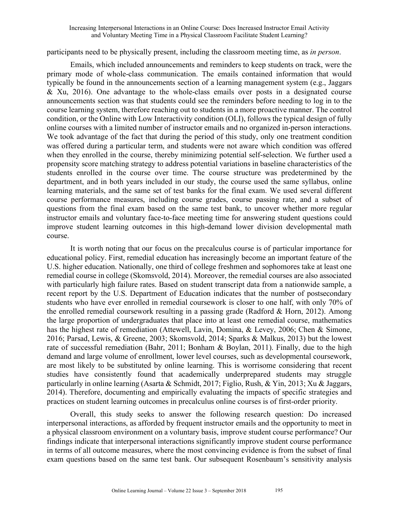participants need to be physically present, including the classroom meeting time, as *in person*.

Emails, which included announcements and reminders to keep students on track, were the primary mode of whole-class communication. The emails contained information that would typically be found in the announcements section of a learning management system (e.g., Jaggars & Xu, 2016). One advantage to the whole-class emails over posts in a designated course announcements section was that students could see the reminders before needing to log in to the course learning system, therefore reaching out to students in a more proactive manner. The control condition, or the Online with Low Interactivity condition (OLI), follows the typical design of fully online courses with a limited number of instructor emails and no organized in-person interactions. We took advantage of the fact that during the period of this study, only one treatment condition was offered during a particular term, and students were not aware which condition was offered when they enrolled in the course, thereby minimizing potential self-selection. We further used a propensity score matching strategy to address potential variations in baseline characteristics of the students enrolled in the course over time. The course structure was predetermined by the department, and in both years included in our study, the course used the same syllabus, online learning materials, and the same set of test banks for the final exam. We used several different course performance measures, including course grades, course passing rate, and a subset of questions from the final exam based on the same test bank, to uncover whether more regular instructor emails and voluntary face-to-face meeting time for answering student questions could improve student learning outcomes in this high-demand lower division developmental math course.

It is worth noting that our focus on the precalculus course is of particular importance for educational policy. First, remedial education has increasingly become an important feature of the U.S. higher education. Nationally, one third of college freshmen and sophomores take at least one remedial course in college (Skomsvold, 2014). Moreover, the remedial courses are also associated with particularly high failure rates. Based on student transcript data from a nationwide sample, a recent report by the U.S. Department of Education indicates that the number of postsecondary students who have ever enrolled in remedial coursework is closer to one half, with only 70% of the enrolled remedial coursework resulting in a passing grade (Radford & Horn, 2012). Among the large proportion of undergraduates that place into at least one remedial course, mathematics has the highest rate of remediation (Attewell, Lavin, Domina, & Levey, 2006; Chen & Simone, 2016; Parsad, Lewis, & Greene, 2003; Skomsvold, 2014; Sparks & Malkus, 2013) but the lowest rate of successful remediation (Bahr, 2011; Bonham & Boylan, 2011). Finally, due to the high demand and large volume of enrollment, lower level courses, such as developmental coursework, are most likely to be substituted by online learning. This is worrisome considering that recent studies have consistently found that academically underprepared students may struggle particularly in online learning (Asarta & Schmidt, 2017; Figlio, Rush, & Yin, 2013; Xu & Jaggars, 2014). Therefore, documenting and empirically evaluating the impacts of specific strategies and practices on student learning outcomes in precalculus online courses is of first-order priority.

Overall, this study seeks to answer the following research question: Do increased interpersonal interactions, as afforded by frequent instructor emails and the opportunity to meet in a physical classroom environment on a voluntary basis, improve student course performance? Our findings indicate that interpersonal interactions significantly improve student course performance in terms of all outcome measures, where the most convincing evidence is from the subset of final exam questions based on the same test bank. Our subsequent Rosenbaum's sensitivity analysis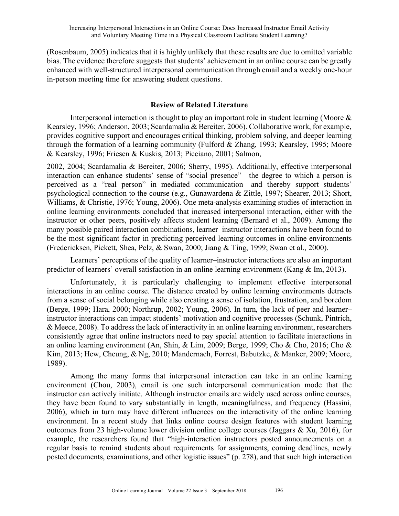(Rosenbaum, 2005) indicates that it is highly unlikely that these results are due to omitted variable bias. The evidence therefore suggests that students' achievement in an online course can be greatly enhanced with well-structured interpersonal communication through email and a weekly one-hour in-person meeting time for answering student questions.

## **Review of Related Literature**

Interpersonal interaction is thought to play an important role in student learning (Moore & Kearsley, 1996; Anderson, 2003; Scardamalia & Bereiter, 2006). Collaborative work, for example, provides cognitive support and encourages critical thinking, problem solving, and deeper learning through the formation of a learning community (Fulford & Zhang, 1993; Kearsley, 1995; Moore & Kearsley, 1996; Friesen & Kuskis, 2013; Picciano, 2001; Salmon,

2002, 2004; Scardamalia & Bereiter, 2006; Sherry, 1995). Additionally, effective interpersonal interaction can enhance students' sense of "social presence"—the degree to which a person is perceived as a "real person" in mediated communication—and thereby support students' psychological connection to the course (e.g., Gunawardena & Zittle, 1997; Shearer, 2013; Short, Williams, & Christie, 1976; Young, 2006). One meta-analysis examining studies of interaction in online learning environments concluded that increased interpersonal interaction, either with the instructor or other peers, positively affects student learning (Bernard et al., 2009). Among the many possible paired interaction combinations, learner–instructor interactions have been found to be the most significant factor in predicting perceived learning outcomes in online environments (Fredericksen, Pickett, Shea, Pelz, & Swan, 2000; Jiang & Ting, 1999; Swan et al., 2000).

Learners' perceptions of the quality of learner–instructor interactions are also an important predictor of learners' overall satisfaction in an online learning environment (Kang & Im, 2013).

Unfortunately, it is particularly challenging to implement effective interpersonal interactions in an online course. The distance created by online learning environments detracts from a sense of social belonging while also creating a sense of isolation, frustration, and boredom (Berge, 1999; Hara, 2000; Northrup, 2002; Young, 2006). In turn, the lack of peer and learner– instructor interactions can impact students' motivation and cognitive processes (Schunk, Pintrich, & Meece, 2008). To address the lack of interactivity in an online learning environment, researchers consistently agree that online instructors need to pay special attention to facilitate interactions in an online learning environment (An, Shin, & Lim, 2009; Berge, 1999; Cho & Cho, 2016; Cho & Kim, 2013; Hew, Cheung, & Ng, 2010; Mandernach, Forrest, Babutzke, & Manker, 2009; Moore, 1989).

Among the many forms that interpersonal interaction can take in an online learning environment (Chou, 2003), email is one such interpersonal communication mode that the instructor can actively initiate. Although instructor emails are widely used across online courses, they have been found to vary substantially in length, meaningfulness, and frequency (Hassini, 2006), which in turn may have different influences on the interactivity of the online learning environment. In a recent study that links online course design features with student learning outcomes from 23 high-volume lower division online college courses (Jaggars & Xu, 2016), for example, the researchers found that "high-interaction instructors posted announcements on a regular basis to remind students about requirements for assignments, coming deadlines, newly posted documents, examinations, and other logistic issues" (p. 278), and that such high interaction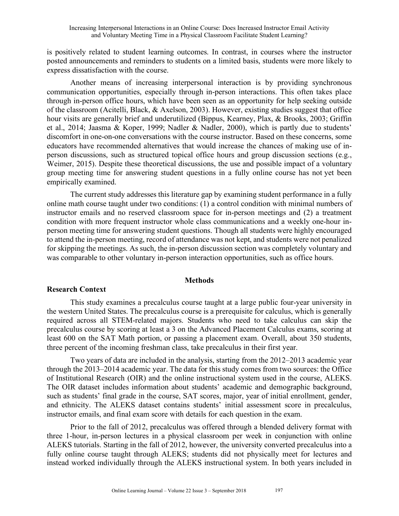is positively related to student learning outcomes. In contrast, in courses where the instructor posted announcements and reminders to students on a limited basis, students were more likely to express dissatisfaction with the course.

Another means of increasing interpersonal interaction is by providing synchronous communication opportunities, especially through in-person interactions. This often takes place through in-person office hours, which have been seen as an opportunity for help seeking outside of the classroom (Acitelli, Black, & Axelson, 2003). However, existing studies suggest that office hour visits are generally brief and underutilized (Bippus, Kearney, Plax, & Brooks, 2003; Griffin et al., 2014; Jaasma & Koper, 1999; Nadler & Nadler, 2000), which is partly due to students' discomfort in one-on-one conversations with the course instructor. Based on these concerns, some educators have recommended alternatives that would increase the chances of making use of inperson discussions, such as structured topical office hours and group discussion sections (e.g., Weimer, 2015). Despite these theoretical discussions, the use and possible impact of a voluntary group meeting time for answering student questions in a fully online course has not yet been empirically examined.

The current study addresses this literature gap by examining student performance in a fully online math course taught under two conditions: (1) a control condition with minimal numbers of instructor emails and no reserved classroom space for in-person meetings and (2) a treatment condition with more frequent instructor whole class communications and a weekly one-hour inperson meeting time for answering student questions. Though all students were highly encouraged to attend the in-person meeting, record of attendance was not kept, and students were not penalized for skipping the meetings. As such, the in-person discussion section was completely voluntary and was comparable to other voluntary in-person interaction opportunities, such as office hours.

## **Methods**

## **Research Context**

This study examines a precalculus course taught at a large public four-year university in the western United States. The precalculus course is a prerequisite for calculus, which is generally required across all STEM-related majors. Students who need to take calculus can skip the precalculus course by scoring at least a 3 on the Advanced Placement Calculus exams, scoring at least 600 on the SAT Math portion, or passing a placement exam. Overall, about 350 students, three percent of the incoming freshman class, take precalculus in their first year.

Two years of data are included in the analysis, starting from the 2012–2013 academic year through the 2013–2014 academic year. The data for this study comes from two sources: the Office of Institutional Research (OIR) and the online instructional system used in the course, ALEKS. The OIR dataset includes information about students' academic and demographic background, such as students' final grade in the course, SAT scores, major, year of initial enrollment, gender, and ethnicity. The ALEKS dataset contains students' initial assessment score in precalculus, instructor emails, and final exam score with details for each question in the exam.

Prior to the fall of 2012, precalculus was offered through a blended delivery format with three 1-hour, in-person lectures in a physical classroom per week in conjunction with online ALEKS tutorials. Starting in the fall of 2012, however, the university converted precalculus into a fully online course taught through ALEKS; students did not physically meet for lectures and instead worked individually through the ALEKS instructional system. In both years included in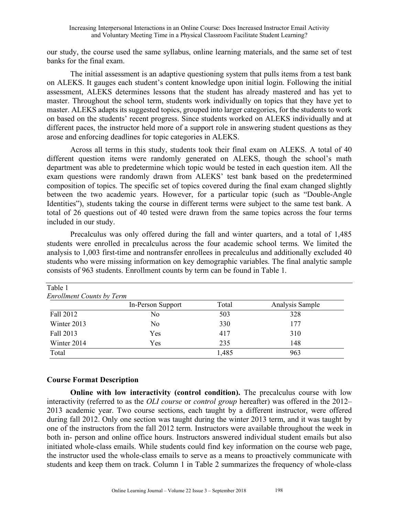our study, the course used the same syllabus, online learning materials, and the same set of test banks for the final exam.

The initial assessment is an adaptive questioning system that pulls items from a test bank on ALEKS. It gauges each student's content knowledge upon initial login. Following the initial assessment, ALEKS determines lessons that the student has already mastered and has yet to master. Throughout the school term, students work individually on topics that they have yet to master. ALEKS adapts its suggested topics, grouped into larger categories, for the students to work on based on the students' recent progress. Since students worked on ALEKS individually and at different paces, the instructor held more of a support role in answering student questions as they arose and enforcing deadlines for topic categories in ALEKS.

Across all terms in this study, students took their final exam on ALEKS. A total of 40 different question items were randomly generated on ALEKS, though the school's math department was able to predetermine which topic would be tested in each question item. All the exam questions were randomly drawn from ALEKS' test bank based on the predetermined composition of topics. The specific set of topics covered during the final exam changed slightly between the two academic years. However, for a particular topic (such as "Double-Angle Identities"), students taking the course in different terms were subject to the same test bank. A total of 26 questions out of 40 tested were drawn from the same topics across the four terms included in our study.

Precalculus was only offered during the fall and winter quarters, and a total of 1,485 students were enrolled in precalculus across the four academic school terms. We limited the analysis to 1,003 first-time and nontransfer enrollees in precalculus and additionally excluded 40 students who were missing information on key demographic variables. The final analytic sample consists of 963 students. Enrollment counts by term can be found in Table 1.

| <b>Enrollment Counts by Term</b> |       |                 |
|----------------------------------|-------|-----------------|
| In-Person Support                | Total | Analysis Sample |
| No                               | 503   | 328             |
| N <sub>0</sub>                   | 330   | 177             |
| Yes                              | 417   | 310             |
| Yes                              | 235   | 148             |
|                                  | 1,485 | 963             |
|                                  |       |                 |

## **Course Format Description**

**Online with low interactivity (control condition).** The precalculus course with low interactivity (referred to as the *OLI course* or *control group* hereafter) was offered in the 2012– 2013 academic year. Two course sections, each taught by a different instructor, were offered during fall 2012. Only one section was taught during the winter 2013 term, and it was taught by one of the instructors from the fall 2012 term. Instructors were available throughout the week in both in- person and online office hours. Instructors answered individual student emails but also initiated whole-class emails. While students could find key information on the course web page, the instructor used the whole-class emails to serve as a means to proactively communicate with students and keep them on track. Column 1 in Table 2 summarizes the frequency of whole-class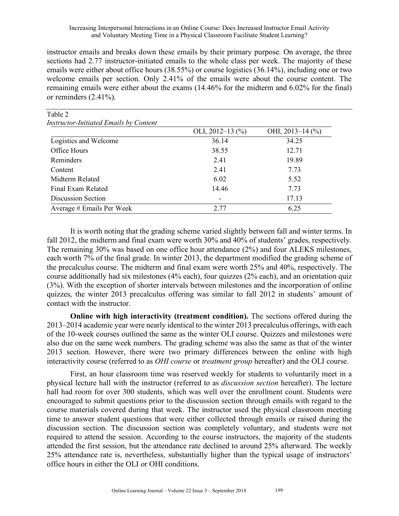instructor emails and breaks down these emails by their primary purpose. On average, the three sections had 2.77 instructor-initiated emails to the whole class per week. The majority of these emails were either about office hours (38.55%) or course logistics (36.14%), including one or two welcome emails per section. Only 2.41% of the emails were about the course content. The remaining emails were either about the exams (14.46% for the midterm and 6.02% for the final) or reminders (2.41%).

| Table 2                                       |                          |                    |
|-----------------------------------------------|--------------------------|--------------------|
| <b>Instructor-Initiated Emails by Content</b> |                          |                    |
|                                               | OLI, $2012-13$ (%)       | OHI, $2013-14$ (%) |
| Logistics and Welcome                         | 36.14                    | 34.25              |
| Office Hours                                  | 38.55                    | 12.71              |
| Reminders                                     | 2.41                     | 19.89              |
| Content                                       | 2.41                     | 7.73               |
| Midterm Related                               | 6.02                     | 5.52               |
| Final Exam Related                            | 14.46                    | 7.73               |
| Discussion Section                            | $\overline{\phantom{a}}$ | 17.13              |
| Average # Emails Per Week                     | 2.77                     | 6.25               |

It is worth noting that the grading scheme varied slightly between fall and winter terms. In fall 2012, the midterm and final exam were worth 30% and 40% of students' grades, respectively. The remaining 30% was based on one office hour attendance (2%) and four ALEKS milestones, each worth 7% of the final grade. In winter 2013, the department modified the grading scheme of the precalculus course. The midterm and final exam were worth 25% and 40%, respectively. The course additionally had six milestones (4% each), four quizzes (2% each), and an orientation quiz (3%). With the exception of shorter intervals between milestones and the incorporation of online quizzes, the winter 2013 precalculus offering was similar to fall 2012 in students' amount of contact with the instructor.

**Online with high interactivity (treatment condition).** The sections offered during the 2013–2014 academic year were nearly identical to the winter 2013 precalculus offerings, with each of the 10-week courses outlined the same as the winter OLI course. Quizzes and milestones were also due on the same week numbers. The grading scheme was also the same as that of the winter 2013 section. However, there were two primary differences between the online with high interactivity course (referred to as *OHI course* or *treatment group* hereafter) and the OLI course.

First, an hour classroom time was reserved weekly for students to voluntarily meet in a physical lecture hall with the instructor (referred to as *discussion section* hereafter). The lecture hall had room for over 300 students, which was well over the enrollment count. Students were encouraged to submit questions prior to the discussion section through emails with regard to the course materials covered during that week. The instructor used the physical classroom meeting time to answer student questions that were either collected through emails or raised during the discussion section. The discussion section was completely voluntary, and students were not required to attend the session. According to the course instructors, the majority of the students attended the first session, but the attendance rate declined to around 25% afterward. The weekly 25% attendance rate is, nevertheless, substantially higher than the typical usage of instructors' office hours in either the OLI or OHI conditions.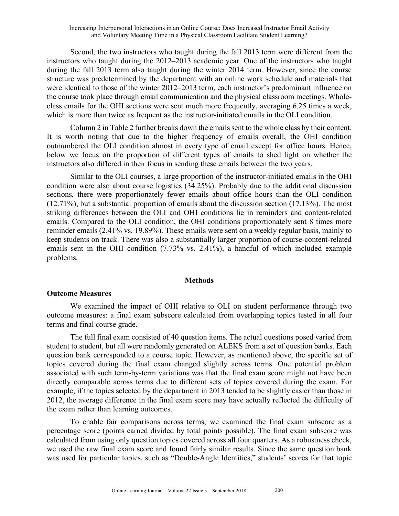Second, the two instructors who taught during the fall 2013 term were different from the instructors who taught during the 2012–2013 academic year. One of the instructors who taught during the fall 2013 term also taught during the winter 2014 term. However, since the course structure was predetermined by the department with an online work schedule and materials that were identical to those of the winter 2012–2013 term, each instructor's predominant influence on the course took place through email communication and the physical classroom meetings. Wholeclass emails for the OHI sections were sent much more frequently, averaging 6.25 times a week, which is more than twice as frequent as the instructor-initiated emails in the OLI condition.

Column 2 in Table 2 further breaks down the emails sent to the whole class by their content. It is worth noting that due to the higher frequency of emails overall, the OHI condition outnumbered the OLI condition almost in every type of email except for office hours. Hence, below we focus on the proportion of different types of emails to shed light on whether the instructors also differed in their focus in sending these emails between the two years.

Similar to the OLI courses, a large proportion of the instructor-initiated emails in the OHI condition were also about course logistics (34.25%). Probably due to the additional discussion sections, there were proportionately fewer emails about office hours than the OLI condition (12.71%), but a substantial proportion of emails about the discussion section (17.13%). The most striking differences between the OLI and OHI conditions lie in reminders and content-related emails. Compared to the OLI condition, the OHI conditions proportionately sent 8 times more reminder emails (2.41% vs. 19.89%). These emails were sent on a weekly regular basis, mainly to keep students on track. There was also a substantially larger proportion of course-content-related emails sent in the OHI condition (7.73% vs. 2.41%), a handful of which included example problems.

## **Methods**

## **Outcome Measures**

We examined the impact of OHI relative to OLI on student performance through two outcome measures: a final exam subscore calculated from overlapping topics tested in all four terms and final course grade.

The full final exam consisted of 40 question items. The actual questions posed varied from student to student, but all were randomly generated on ALEKS from a set of question banks. Each question bank corresponded to a course topic. However, as mentioned above, the specific set of topics covered during the final exam changed slightly across terms. One potential problem associated with such term-by-term variations was that the final exam score might not have been directly comparable across terms due to different sets of topics covered during the exam. For example, if the topics selected by the department in 2013 tended to be slightly easier than those in 2012, the average difference in the final exam score may have actually reflected the difficulty of the exam rather than learning outcomes.

To enable fair comparisons across terms, we examined the final exam subscore as a percentage score (points earned divided by total points possible). The final exam subscore was calculated from using only question topics covered across all four quarters. As a robustness check, we used the raw final exam score and found fairly similar results. Since the same question bank was used for particular topics, such as "Double-Angle Identities," students' scores for that topic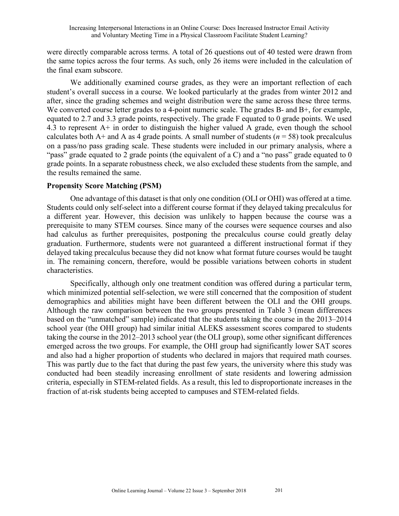were directly comparable across terms. A total of 26 questions out of 40 tested were drawn from the same topics across the four terms. As such, only 26 items were included in the calculation of the final exam subscore.

We additionally examined course grades, as they were an important reflection of each student's overall success in a course. We looked particularly at the grades from winter 2012 and after, since the grading schemes and weight distribution were the same across these three terms. We converted course letter grades to a 4-point numeric scale. The grades B- and B+, for example, equated to 2.7 and 3.3 grade points, respectively. The grade F equated to 0 grade points. We used 4.3 to represent A+ in order to distinguish the higher valued A grade, even though the school calculates both  $A+$  and A as 4 grade points. A small number of students ( $n = 58$ ) took precalculus on a pass/no pass grading scale. These students were included in our primary analysis, where a "pass" grade equated to 2 grade points (the equivalent of a C) and a "no pass" grade equated to 0 grade points. In a separate robustness check, we also excluded these students from the sample, and the results remained the same.

## **Propensity Score Matching (PSM)**

One advantage of this dataset is that only one condition (OLI or OHI) was offered at a time. Students could only self-select into a different course format if they delayed taking precalculus for a different year. However, this decision was unlikely to happen because the course was a prerequisite to many STEM courses. Since many of the courses were sequence courses and also had calculus as further prerequisites, postponing the precalculus course could greatly delay graduation. Furthermore, students were not guaranteed a different instructional format if they delayed taking precalculus because they did not know what format future courses would be taught in. The remaining concern, therefore, would be possible variations between cohorts in student characteristics.

Specifically, although only one treatment condition was offered during a particular term, which minimized potential self-selection, we were still concerned that the composition of student demographics and abilities might have been different between the OLI and the OHI groups. Although the raw comparison between the two groups presented in Table 3 (mean differences based on the "unmatched" sample) indicated that the students taking the course in the 2013–2014 school year (the OHI group) had similar initial ALEKS assessment scores compared to students taking the course in the 2012–2013 school year (the OLI group), some other significant differences emerged across the two groups. For example, the OHI group had significantly lower SAT scores and also had a higher proportion of students who declared in majors that required math courses. This was partly due to the fact that during the past few years, the university where this study was conducted had been steadily increasing enrollment of state residents and lowering admission criteria, especially in STEM-related fields. As a result, this led to disproportionate increases in the fraction of at-risk students being accepted to campuses and STEM-related fields.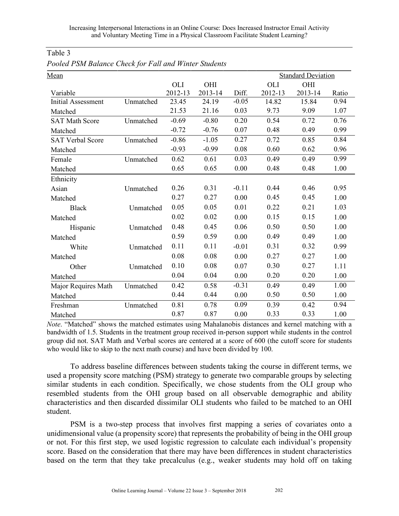| Mean                      |           |         |         |         | <b>Standard Deviation</b> |         |       |  |
|---------------------------|-----------|---------|---------|---------|---------------------------|---------|-------|--|
|                           |           | OLI     | OHI     |         | <b>OLI</b>                | OHI     |       |  |
| Variable                  |           | 2012-13 | 2013-14 | Diff.   | 2012-13                   | 2013-14 | Ratio |  |
| <b>Initial Assessment</b> | Unmatched | 23.45   | 24.19   | $-0.05$ | 14.82                     | 15.84   | 0.94  |  |
| Matched                   |           | 21.53   | 21.16   | 0.03    | 9.73                      | 9.09    | 1.07  |  |
| <b>SAT Math Score</b>     | Unmatched | $-0.69$ | $-0.80$ | 0.20    | 0.54                      | 0.72    | 0.76  |  |
| Matched                   |           | $-0.72$ | $-0.76$ | 0.07    | 0.48                      | 0.49    | 0.99  |  |
| <b>SAT Verbal Score</b>   | Unmatched | $-0.86$ | $-1.05$ | 0.27    | 0.72                      | 0.85    | 0.84  |  |
| Matched                   |           | $-0.93$ | $-0.99$ | 0.08    | 0.60                      | 0.62    | 0.96  |  |
| Female                    | Unmatched | 0.62    | 0.61    | 0.03    | 0.49                      | 0.49    | 0.99  |  |
| Matched                   |           | 0.65    | 0.65    | 0.00    | 0.48                      | 0.48    | 1.00  |  |
| Ethnicity                 |           |         |         |         |                           |         |       |  |
| Asian                     | Unmatched | 0.26    | 0.31    | $-0.11$ | 0.44                      | 0.46    | 0.95  |  |
| Matched                   |           | 0.27    | 0.27    | 0.00    | 0.45                      | 0.45    | 1.00  |  |
| <b>Black</b>              | Unmatched | 0.05    | 0.05    | 0.01    | 0.22                      | 0.21    | 1.03  |  |
| Matched                   |           | 0.02    | 0.02    | 0.00    | 0.15                      | 0.15    | 1.00  |  |
| Hispanic                  | Unmatched | 0.48    | 0.45    | 0.06    | 0.50                      | 0.50    | 1.00  |  |
| Matched                   |           | 0.59    | 0.59    | 0.00    | 0.49                      | 0.49    | 1.00  |  |
| White                     | Unmatched | 0.11    | 0.11    | $-0.01$ | 0.31                      | 0.32    | 0.99  |  |
| Matched                   |           | 0.08    | 0.08    | 0.00    | 0.27                      | 0.27    | 1.00  |  |
| Other                     | Unmatched | 0.10    | 0.08    | 0.07    | 0.30                      | 0.27    | 1.11  |  |
| Matched                   |           | 0.04    | 0.04    | 0.00    | 0.20                      | 0.20    | 1.00  |  |
| Major Requires Math       | Unmatched | 0.42    | 0.58    | $-0.31$ | 0.49                      | 0.49    | 1.00  |  |
| Matched                   |           | 0.44    | 0.44    | 0.00    | 0.50                      | 0.50    | 1.00  |  |
| Freshman                  | Unmatched | 0.81    | 0.78    | 0.09    | 0.39                      | 0.42    | 0.94  |  |
| Matched                   |           | 0.87    | 0.87    | 0.00    | 0.33                      | 0.33    | 1.00  |  |

Table 3

*Pooled PSM Balance Check for Fall and Winter Students*

*Note*. "Matched" shows the matched estimates using Mahalanobis distances and kernel matching with a bandwidth of 1.5. Students in the treatment group received in-person support while students in the control group did not. SAT Math and Verbal scores are centered at a score of 600 (the cutoff score for students who would like to skip to the next math course) and have been divided by 100.

To address baseline differences between students taking the course in different terms, we used a propensity score matching (PSM) strategy to generate two comparable groups by selecting similar students in each condition. Specifically, we chose students from the OLI group who resembled students from the OHI group based on all observable demographic and ability characteristics and then discarded dissimilar OLI students who failed to be matched to an OHI student.

PSM is a two-step process that involves first mapping a series of covariates onto a unidimensional value (a propensity score) that represents the probability of being in the OHI group or not. For this first step, we used logistic regression to calculate each individual's propensity score. Based on the consideration that there may have been differences in student characteristics based on the term that they take precalculus (e.g., weaker students may hold off on taking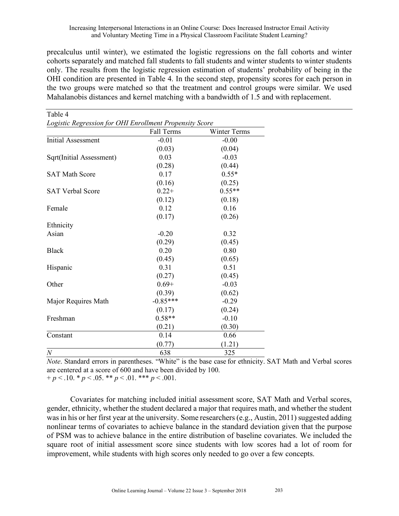precalculus until winter), we estimated the logistic regressions on the fall cohorts and winter cohorts separately and matched fall students to fall students and winter students to winter students only. The results from the logistic regression estimation of students' probability of being in the OHI condition are presented in Table 4. In the second step, propensity scores for each person in the two groups were matched so that the treatment and control groups were similar. We used Mahalanobis distances and kernel matching with a bandwidth of 1.5 and with replacement.

| Table 4                                                 |            |                     |
|---------------------------------------------------------|------------|---------------------|
| Logistic Regression for OHI Enrollment Propensity Score |            |                     |
|                                                         | Fall Terms | <b>Winter Terms</b> |
| <b>Initial Assessment</b>                               | $-0.01$    | $-0.00$             |
|                                                         | (0.03)     | (0.04)              |
| Sqrt(Initial Assessment)                                | 0.03       | $-0.03$             |
|                                                         | (0.28)     | (0.44)              |
| <b>SAT Math Score</b>                                   | 0.17       | $0.55*$             |
|                                                         | (0.16)     | (0.25)              |
| <b>SAT Verbal Score</b>                                 | $0.22+$    | $0.55**$            |
|                                                         | (0.12)     | (0.18)              |
| Female                                                  | 0.12       | 0.16                |
|                                                         | (0.17)     | (0.26)              |
| Ethnicity                                               |            |                     |
| Asian                                                   | $-0.20$    | 0.32                |
|                                                         | (0.29)     | (0.45)              |
| <b>Black</b>                                            | 0.20       | 0.80                |
|                                                         | (0.45)     | (0.65)              |
| Hispanic                                                | 0.31       | 0.51                |
|                                                         | (0.27)     | (0.45)              |
| Other                                                   | $0.69+$    | $-0.03$             |
|                                                         | (0.39)     | (0.62)              |
| Major Requires Math                                     | $-0.85***$ | $-0.29$             |
|                                                         | (0.17)     | (0.24)              |
| Freshman                                                | $0.58**$   | $-0.10$             |
|                                                         | (0.21)     | (0.30)              |
| Constant                                                | 0.14       | 0.66                |
|                                                         | (0.77)     | (1.21)              |
| $\boldsymbol{N}$                                        | 638        | 325                 |

*Note*. Standard errors in parentheses. "White" is the base case for ethnicity. SAT Math and Verbal scores are centered at a score of 600 and have been divided by 100.  $+p < 0.10 \cdot p < 0.05 \cdot p < 0.01 \cdot p < 0.01$ .

Covariates for matching included initial assessment score, SAT Math and Verbal scores, gender, ethnicity, whether the student declared a major that requires math, and whether the student was in his or her first year at the university. Some researchers (e.g., Austin, 2011) suggested adding nonlinear terms of covariates to achieve balance in the standard deviation given that the purpose of PSM was to achieve balance in the entire distribution of baseline covariates. We included the square root of initial assessment score since students with low scores had a lot of room for improvement, while students with high scores only needed to go over a few concepts.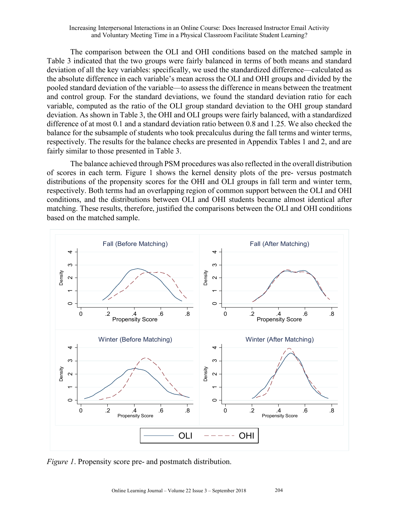The comparison between the OLI and OHI conditions based on the matched sample in Table 3 indicated that the two groups were fairly balanced in terms of both means and standard deviation of all the key variables: specifically, we used the standardized difference—calculated as the absolute difference in each variable's mean across the OLI and OHI groups and divided by the pooled standard deviation of the variable—to assess the difference in means between the treatment and control group. For the standard deviations, we found the standard deviation ratio for each variable, computed as the ratio of the OLI group standard deviation to the OHI group standard deviation. As shown in Table 3, the OHI and OLI groups were fairly balanced, with a standardized difference of at most 0.1 and a standard deviation ratio between 0.8 and 1.25. We also checked the balance for the subsample of students who took precalculus during the fall terms and winter terms, respectively. The results for the balance checks are presented in Appendix Tables 1 and 2, and are fairly similar to those presented in Table 3.

The balance achieved through PSM procedures was also reflected in the overall distribution of scores in each term. Figure 1 shows the kernel density plots of the pre- versus postmatch distributions of the propensity scores for the OHI and OLI groups in fall term and winter term, respectively. Both terms had an overlapping region of common support between the OLI and OHI conditions, and the distributions between OLI and OHI students became almost identical after matching. These results, therefore, justified the comparisons between the OLI and OHI conditions based on the matched sample.



*Figure 1*. Propensity score pre- and postmatch distribution.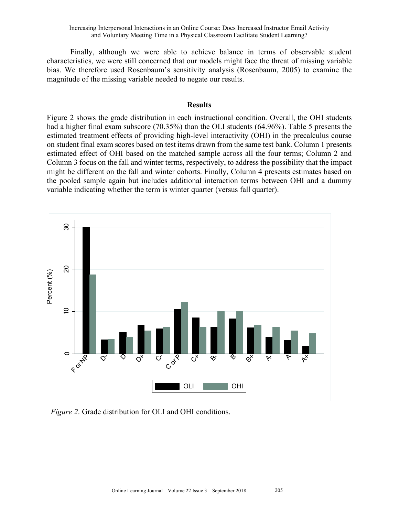Finally, although we were able to achieve balance in terms of observable student characteristics, we were still concerned that our models might face the threat of missing variable bias. We therefore used Rosenbaum's sensitivity analysis (Rosenbaum, 2005) to examine the magnitude of the missing variable needed to negate our results.

#### **Results**

Figure 2 shows the grade distribution in each instructional condition. Overall, the OHI students had a higher final exam subscore (70.35%) than the OLI students (64.96%). Table 5 presents the estimated treatment effects of providing high-level interactivity (OHI) in the precalculus course on student final exam scores based on test items drawn from the same test bank. Column 1 presents estimated effect of OHI based on the matched sample across all the four terms; Column 2 and Column 3 focus on the fall and winter terms, respectively, to address the possibility that the impact might be different on the fall and winter cohorts. Finally, Column 4 presents estimates based on the pooled sample again but includes additional interaction terms between OHI and a dummy variable indicating whether the term is winter quarter (versus fall quarter).



 *Figure 2*. Grade distribution for OLI and OHI conditions.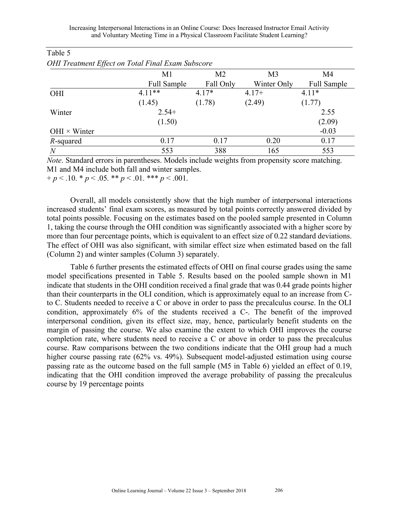| $\bm{\nu}$          |             |                |                |                    |
|---------------------|-------------|----------------|----------------|--------------------|
|                     | M1          | M <sub>2</sub> | M <sub>3</sub> | M4                 |
|                     | Full Sample | Fall Only      | Winter Only    | <b>Full Sample</b> |
| <b>OHI</b>          | $4.11**$    | $4.17*$        | $4.17+$        | $4.11*$            |
|                     | (1.45)      | (1.78)         | (2.49)         | (1.77)             |
| Winter              | $2.54+$     |                |                | 2.55               |
|                     | (1.50)      |                |                | (2.09)             |
| $OHI \times Winter$ |             |                |                | $-0.03$            |
| R-squared           | 0.17        | 0.17           | 0.20           | 0.17               |
| $\overline{N}$      | 553         | 388            | 165            | 553                |
|                     |             |                |                |                    |

# Table 5

|  | OHI Treatment Effect on Total Final Exam Subscore |  |
|--|---------------------------------------------------|--|
|--|---------------------------------------------------|--|

*Note*. Standard errors in parentheses. Models include weights from propensity score matching. M1 and M4 include both fall and winter samples.  $+p < 0.10 \cdot p < 0.05 \cdot p < 0.01 \cdot p < 0.01$ .

Overall, all models consistently show that the high number of interpersonal interactions increased students' final exam scores, as measured by total points correctly answered divided by total points possible. Focusing on the estimates based on the pooled sample presented in Column 1, taking the course through the OHI condition was significantly associated with a higher score by more than four percentage points, which is equivalent to an effect size of 0.22 standard deviations. The effect of OHI was also significant, with similar effect size when estimated based on the fall (Column 2) and winter samples (Column 3) separately.

Table 6 further presents the estimated effects of OHI on final course grades using the same model specifications presented in Table 5. Results based on the pooled sample shown in M1 indicate that students in the OHI condition received a final grade that was 0.44 grade points higher than their counterparts in the OLI condition, which is approximately equal to an increase from Cto C. Students needed to receive a C or above in order to pass the precalculus course. In the OLI condition, approximately 6% of the students received a C-. The benefit of the improved interpersonal condition, given its effect size, may, hence, particularly benefit students on the margin of passing the course. We also examine the extent to which OHI improves the course completion rate, where students need to receive a C or above in order to pass the precalculus course. Raw comparisons between the two conditions indicate that the OHI group had a much higher course passing rate (62% vs. 49%). Subsequent model-adjusted estimation using course passing rate as the outcome based on the full sample (M5 in Table 6) yielded an effect of 0.19, indicating that the OHI condition improved the average probability of passing the precalculus course by 19 percentage points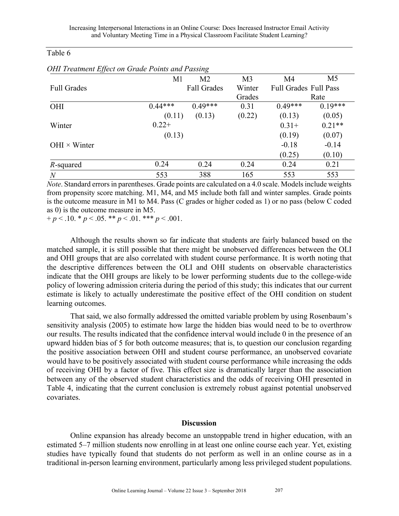## Table 6

| vv                  |           |                    |                |                              |                |
|---------------------|-----------|--------------------|----------------|------------------------------|----------------|
|                     | M1        | M <sub>2</sub>     | M <sub>3</sub> | M <sub>4</sub>               | M <sub>5</sub> |
| <b>Full Grades</b>  |           | <b>Fall Grades</b> | Winter         | <b>Full Grades Full Pass</b> |                |
|                     |           |                    | Grades         |                              | Rate           |
| OHI                 | $0.44***$ | $0.49***$          | 0.31           | $0.49***$                    | $0.19***$      |
|                     | (0.11)    | (0.13)             | (0.22)         | (0.13)                       | (0.05)         |
| Winter              | $0.22+$   |                    |                | $0.31+$                      | $0.21**$       |
|                     | (0.13)    |                    |                | (0.19)                       | (0.07)         |
| $OHI \times Winter$ |           |                    |                | $-0.18$                      | $-0.14$        |
|                     |           |                    |                | (0.25)                       | (0.10)         |
| R-squared           | 0.24      | 0.24               | 0.24           | 0.24                         | 0.21           |
| $\overline{N}$      | 553       | 388                | 165            | 553                          | 553            |

*OHI Treatment Effect on Grade Points and Passing*

*Note*. Standard errors in parentheses. Grade points are calculated on a 4.0 scale. Models include weights from propensity score matching. M1, M4, and M5 include both fall and winter samples. Grade points is the outcome measure in M1 to M4. Pass (C grades or higher coded as 1) or no pass (below C coded as 0) is the outcome measure in M5.

 $+p < 0.10 \cdot p < 0.05 \cdot p < 0.01 \cdot p < 0.01$ .

Although the results shown so far indicate that students are fairly balanced based on the matched sample, it is still possible that there might be unobserved differences between the OLI and OHI groups that are also correlated with student course performance. It is worth noting that the descriptive differences between the OLI and OHI students on observable characteristics indicate that the OHI groups are likely to be lower performing students due to the college-wide policy of lowering admission criteria during the period of this study; this indicates that our current estimate is likely to actually underestimate the positive effect of the OHI condition on student learning outcomes.

That said, we also formally addressed the omitted variable problem by using Rosenbaum's sensitivity analysis (2005) to estimate how large the hidden bias would need to be to overthrow our results. The results indicated that the confidence interval would include 0 in the presence of an upward hidden bias of 5 for both outcome measures; that is, to question our conclusion regarding the positive association between OHI and student course performance, an unobserved covariate would have to be positively associated with student course performance while increasing the odds of receiving OHI by a factor of five. This effect size is dramatically larger than the association between any of the observed student characteristics and the odds of receiving OHI presented in Table 4, indicating that the current conclusion is extremely robust against potential unobserved covariates.

## **Discussion**

Online expansion has already become an unstoppable trend in higher education, with an estimated 5–7 million students now enrolling in at least one online course each year. Yet, existing studies have typically found that students do not perform as well in an online course as in a traditional in-person learning environment, particularly among less privileged student populations.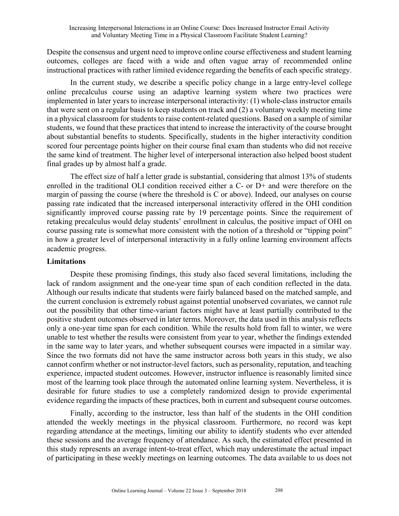Despite the consensus and urgent need to improve online course effectiveness and student learning outcomes, colleges are faced with a wide and often vague array of recommended online instructional practices with rather limited evidence regarding the benefits of each specific strategy.

In the current study, we describe a specific policy change in a large entry-level college online precalculus course using an adaptive learning system where two practices were implemented in later years to increase interpersonal interactivity: (1) whole-class instructor emails that were sent on a regular basis to keep students on track and (2) a voluntary weekly meeting time in a physical classroom for students to raise content-related questions. Based on a sample of similar students, we found that these practices that intend to increase the interactivity of the course brought about substantial benefits to students. Specifically, students in the higher interactivity condition scored four percentage points higher on their course final exam than students who did not receive the same kind of treatment. The higher level of interpersonal interaction also helped boost student final grades up by almost half a grade.

The effect size of half a letter grade is substantial, considering that almost 13% of students enrolled in the traditional OLI condition received either a C- or D+ and were therefore on the margin of passing the course (where the threshold is C or above). Indeed, our analyses on course passing rate indicated that the increased interpersonal interactivity offered in the OHI condition significantly improved course passing rate by 19 percentage points. Since the requirement of retaking precalculus would delay students' enrollment in calculus, the positive impact of OHI on course passing rate is somewhat more consistent with the notion of a threshold or "tipping point" in how a greater level of interpersonal interactivity in a fully online learning environment affects academic progress.

## **Limitations**

Despite these promising findings, this study also faced several limitations, including the lack of random assignment and the one-year time span of each condition reflected in the data. Although our results indicate that students were fairly balanced based on the matched sample, and the current conclusion is extremely robust against potential unobserved covariates, we cannot rule out the possibility that other time-variant factors might have at least partially contributed to the positive student outcomes observed in later terms. Moreover, the data used in this analysis reflects only a one-year time span for each condition. While the results hold from fall to winter, we were unable to test whether the results were consistent from year to year, whether the findings extended in the same way to later years, and whether subsequent courses were impacted in a similar way. Since the two formats did not have the same instructor across both years in this study, we also cannot confirm whether or not instructor-level factors, such as personality, reputation, and teaching experience, impacted student outcomes. However, instructor influence is reasonably limited since most of the learning took place through the automated online learning system. Nevertheless, it is desirable for future studies to use a completely randomized design to provide experimental evidence regarding the impacts of these practices, both in current and subsequent course outcomes.

Finally, according to the instructor, less than half of the students in the OHI condition attended the weekly meetings in the physical classroom. Furthermore, no record was kept regarding attendance at the meetings, limiting our ability to identify students who ever attended these sessions and the average frequency of attendance. As such, the estimated effect presented in this study represents an average intent-to-treat effect, which may underestimate the actual impact of participating in these weekly meetings on learning outcomes. The data available to us does not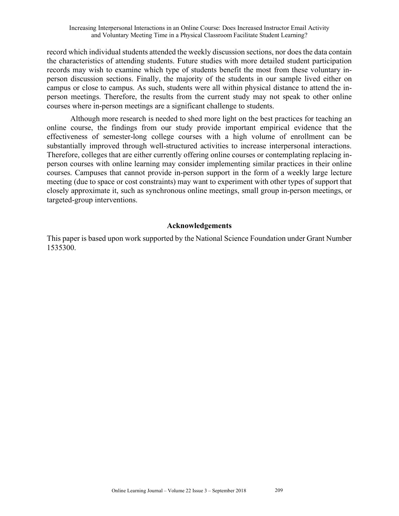record which individual students attended the weekly discussion sections, nor does the data contain the characteristics of attending students. Future studies with more detailed student participation records may wish to examine which type of students benefit the most from these voluntary inperson discussion sections. Finally, the majority of the students in our sample lived either on campus or close to campus. As such, students were all within physical distance to attend the inperson meetings. Therefore, the results from the current study may not speak to other online courses where in-person meetings are a significant challenge to students.

Although more research is needed to shed more light on the best practices for teaching an online course, the findings from our study provide important empirical evidence that the effectiveness of semester-long college courses with a high volume of enrollment can be substantially improved through well-structured activities to increase interpersonal interactions. Therefore, colleges that are either currently offering online courses or contemplating replacing inperson courses with online learning may consider implementing similar practices in their online courses. Campuses that cannot provide in-person support in the form of a weekly large lecture meeting (due to space or cost constraints) may want to experiment with other types of support that closely approximate it, such as synchronous online meetings, small group in-person meetings, or targeted-group interventions.

## **Acknowledgements**

This paper is based upon work supported by the National Science Foundation under Grant Number 1535300.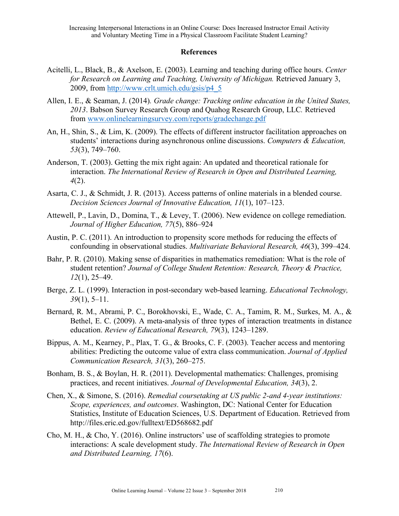## **References**

- Acitelli, L., Black, B., & Axelson, E. (2003). Learning and teaching during office hours. *Center for Research on Learning and Teaching, University of Michigan.* Retrieved January 3, 2009, from http://www.crlt.umich.edu/gsis/p4\_5
- Allen, I. E., & Seaman, J. (2014)*. Grade change: Tracking online education in the United States, 2013*. Babson Survey Research Group and Quahog Research Group, LLC*.* Retrieved from www.onlinelearningsurvey.com/reports/gradechange.pdf
- An, H., Shin, S., & Lim, K. (2009). The effects of different instructor facilitation approaches on students' interactions during asynchronous online discussions. *Computers & Education, 53*(3), 749–760.
- Anderson, T. (2003). Getting the mix right again: An updated and theoretical rationale for interaction. *The International Review of Research in Open and Distributed Learning, 4*(2).
- Asarta, C. J., & Schmidt, J. R. (2013). Access patterns of online materials in a blended course. *Decision Sciences Journal of Innovative Education, 11*(1), 107–123.
- Attewell, P., Lavin, D., Domina, T., & Levey, T. (2006). New evidence on college remediation. *Journal of Higher Education, 77*(5), 886–924
- Austin, P. C. (2011). An introduction to propensity score methods for reducing the effects of confounding in observational studies. *Multivariate Behavioral Research, 46*(3), 399–424.
- Bahr, P. R. (2010). Making sense of disparities in mathematics remediation: What is the role of student retention? *Journal of College Student Retention: Research, Theory & Practice, 12*(1), 25–49.
- Berge, Z. L. (1999). Interaction in post-secondary web-based learning. *Educational Technology, 39*(1), 5–11.
- Bernard, R. M., Abrami, P. C., Borokhovski, E., Wade, C. A., Tamim, R. M., Surkes, M. A., & Bethel, E. C. (2009). A meta-analysis of three types of interaction treatments in distance education. *Review of Educational Research, 79*(3), 1243–1289.
- Bippus, A. M., Kearney, P., Plax, T. G., & Brooks, C. F. (2003). Teacher access and mentoring abilities: Predicting the outcome value of extra class communication. *Journal of Applied Communication Research, 31*(3), 260–275.
- Bonham, B. S., & Boylan, H. R. (2011). Developmental mathematics: Challenges, promising practices, and recent initiatives. *Journal of Developmental Education, 34*(3), 2.
- Chen, X., & Simone, S. (2016). *Remedial coursetaking at US public 2-and 4-year institutions: Scope, experiences, and outcomes*. Washington, DC: National Center for Education Statistics, Institute of Education Sciences, U.S. Department of Education. Retrieved from http://files.eric.ed.gov/fulltext/ED568682.pdf
- Cho, M. H., & Cho, Y. (2016). Online instructors' use of scaffolding strategies to promote interactions: A scale development study. *The International Review of Research in Open and Distributed Learning, 17*(6).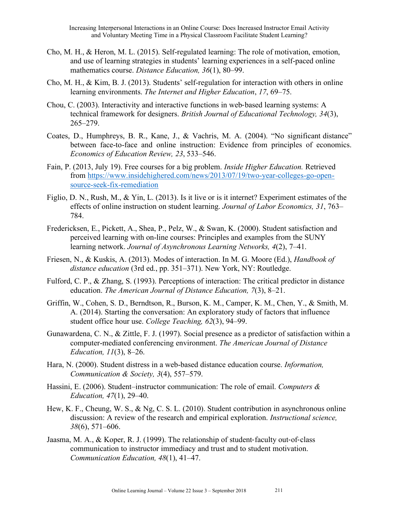- Cho, M. H., & Heron, M. L. (2015). Self-regulated learning: The role of motivation, emotion, and use of learning strategies in students' learning experiences in a self-paced online mathematics course. *Distance Education, 36*(1), 80–99.
- Cho, M. H., & Kim, B. J. (2013). Students' self-regulation for interaction with others in online learning environments. *The Internet and Higher Education*, *17*, 69–75.
- Chou, C. (2003). Interactivity and interactive functions in web-based learning systems: A technical framework for designers. *British Journal of Educational Technology, 34*(3), 265–279.
- Coates, D., Humphreys, B. R., Kane, J., & Vachris, M. A. (2004). "No significant distance" between face-to-face and online instruction: Evidence from principles of economics. *Economics of Education Review, 23*, 533–546.
- Fain, P. (2013, July 19). Free courses for a big problem. *Inside Higher Education.* Retrieved from https://www.insidehighered.com/news/2013/07/19/two-year-colleges-go-opensource-seek-fix-remediation
- Figlio, D. N., Rush, M., & Yin, L. (2013). Is it live or is it internet? Experiment estimates of the effects of online instruction on student learning. *Journal of Labor Economics, 31*, 763– 784.
- Fredericksen, E., Pickett, A., Shea, P., Pelz, W., & Swan, K. (2000). Student satisfaction and perceived learning with on-line courses: Principles and examples from the SUNY learning network. *Journal of Asynchronous Learning Networks, 4*(2), 7–41.
- Friesen, N., & Kuskis, A. (2013). Modes of interaction. In M. G. Moore (Ed.), *Handbook of distance education* (3rd ed., pp. 351–371). New York, NY: Routledge.
- Fulford, C. P., & Zhang, S. (1993). Perceptions of interaction: The critical predictor in distance education. *The American Journal of Distance Education, 7*(3), 8–21.
- Griffin, W., Cohen, S. D., Berndtson, R., Burson, K. M., Camper, K. M., Chen, Y., & Smith, M. A. (2014). Starting the conversation: An exploratory study of factors that influence student office hour use. *College Teaching, 62*(3), 94–99.
- Gunawardena, C. N., & Zittle, F. J. (1997). Social presence as a predictor of satisfaction within a computer-mediated conferencing environment. *The American Journal of Distance Education, 11*(3), 8–26.
- Hara, N. (2000). Student distress in a web-based distance education course. *Information, Communication & Society, 3*(4), 557–579.
- Hassini, E. (2006). Student–instructor communication: The role of email. *Computers & Education, 47*(1), 29–40.
- Hew, K. F., Cheung, W. S., & Ng, C. S. L. (2010). Student contribution in asynchronous online discussion: A review of the research and empirical exploration. *Instructional science, 38*(6), 571–606.
- Jaasma, M. A., & Koper, R. J. (1999). The relationship of student-faculty out-of-class communication to instructor immediacy and trust and to student motivation. *Communication Education, 48*(1), 41–47.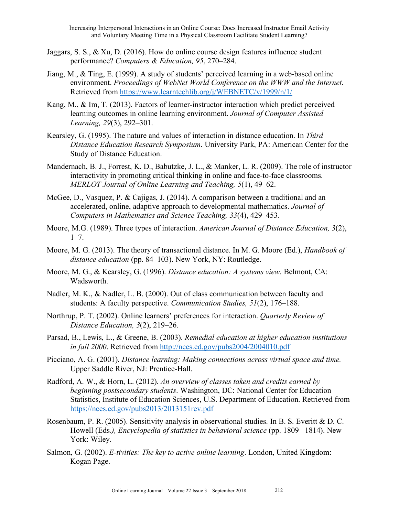- Jaggars, S. S., & Xu, D. (2016). How do online course design features influence student performance? *Computers & Education, 95*, 270–284.
- Jiang, M., & Ting, E. (1999). A study of students' perceived learning in a web-based online environment. *Proceedings of WebNet World Conference on the WWW and the Internet*. Retrieved from https://www.learntechlib.org/j/WEBNETC/v/1999/n/1/
- Kang, M., & Im, T. (2013). Factors of learner-instructor interaction which predict perceived learning outcomes in online learning environment. *Journal of Computer Assisted Learning, 29*(3), 292–301.
- Kearsley, G. (1995). The nature and values of interaction in distance education. In *Third Distance Education Research Symposium*. University Park, PA: American Center for the Study of Distance Education.
- Mandernach, B. J., Forrest, K. D., Babutzke, J. L., & Manker, L. R. (2009). The role of instructor interactivity in promoting critical thinking in online and face-to-face classrooms. *MERLOT Journal of Online Learning and Teaching, 5*(1), 49–62.
- McGee, D., Vasquez, P. & Cajigas, J. (2014). A comparison between a traditional and an accelerated, online, adaptive approach to developmental mathematics. *Journal of Computers in Mathematics and Science Teaching, 33*(4), 429–453.
- Moore, M.G. (1989). Three types of interaction. *American Journal of Distance Education, 3*(2),  $1 - 7$ .
- Moore, M. G. (2013). The theory of transactional distance. In M. G. Moore (Ed.), *Handbook of distance education* (pp. 84–103). New York, NY: Routledge.
- Moore, M. G., & Kearsley, G. (1996). *Distance education: A systems view*. Belmont, CA: Wadsworth.
- Nadler, M. K., & Nadler, L. B. (2000). Out of class communication between faculty and students: A faculty perspective. *Communication Studies, 51*(2), 176–188.
- Northrup, P. T. (2002). Online learners' preferences for interaction. *Quarterly Review of Distance Education, 3*(2), 219–26.
- Parsad, B., Lewis, L., & Greene, B. (2003). *Remedial education at higher education institutions in fall 2000*. Retrieved from http://nces.ed.gov/pubs2004/2004010.pdf
- Picciano, A. G. (2001). *Distance learning: Making connections across virtual space and time.* Upper Saddle River, NJ: Prentice-Hall.
- Radford, A. W., & Horn, L. (2012). *An overview of classes taken and credits earned by beginning postsecondary students*. Washington, DC: National Center for Education Statistics, Institute of Education Sciences, U.S. Department of Education. Retrieved from https://nces.ed.gov/pubs2013/2013151rev.pdf
- Rosenbaum, P. R. (2005). Sensitivity analysis in observational studies. In B. S. Everitt & D. C. Howell (Eds*.), Encyclopedia of statistics in behavioral science* (pp. 1809 –1814). New York: Wiley.
- Salmon, G. (2002). *E-tivities: The key to active online learning*. London, United Kingdom: Kogan Page.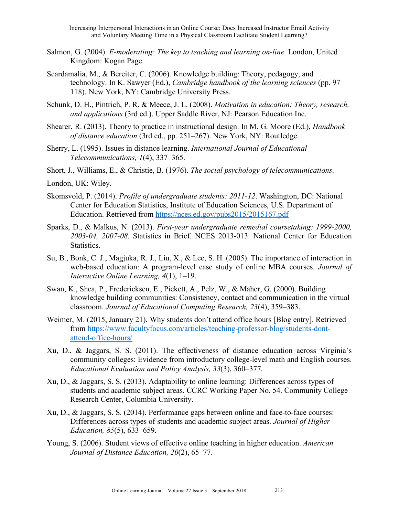- Salmon, G. (2004). *E-moderating: The key to teaching and learning on-line*. London, United Kingdom: Kogan Page.
- Scardamalia, M., & Bereiter, C. (2006). Knowledge building: Theory, pedagogy, and technology. In K. Sawyer (Ed.), *Cambridge handbook of the learning sciences* (pp. 97– 118). New York, NY: Cambridge University Press.
- Schunk, D. H., Pintrich, P. R. & Meece, J. L. (2008). *Motivation in education: Theory, research, and applications* (3rd ed.). Upper Saddle River, NJ: Pearson Education Inc.
- Shearer, R. (2013). Theory to practice in instructional design. In M. G. Moore (Ed.), *Handbook of distance education* (3rd ed., pp. 251–267). New York, NY: Routledge.
- Sherry, L. (1995). Issues in distance learning. *International Journal of Educational Telecommunications, 1*(4), 337–365.
- Short, J., Williams, E., & Christie, B. (1976). *The social psychology of telecommunications*.
- London, UK: Wiley.
- Skomsvold, P. (2014). *Profile of undergraduate students: 2011-12*. Washington, DC: National Center for Education Statistics, Institute of Education Sciences, U.S. Department of Education. Retrieved from https://nces.ed.gov/pubs2015/2015167.pdf
- Sparks, D., & Malkus, N. (2013). *First-year undergraduate remedial coursetaking: 1999-2000, 2003-04, 2007-08*. Statistics in Brief. NCES 2013-013. National Center for Education Statistics.
- Su, B., Bonk, C. J., Magjuka, R. J., Liu, X., & Lee, S. H. (2005). The importance of interaction in web-based education: A program-level case study of online MBA courses. *Journal of Interactive Online Learning, 4*(1), 1–19.
- Swan, K., Shea, P., Fredericksen, E., Pickett, A., Pelz, W., & Maher, G. (2000). Building knowledge building communities: Consistency, contact and communication in the virtual classroom. *Journal of Educational Computing Research, 23*(4), 359–383.
- Weimer, M. (2015, January 21). Why students don't attend office hours [Blog entry]. Retrieved from https://www.facultyfocus.com/articles/teaching-professor-blog/students-dontattend-office-hours/
- Xu, D., & Jaggars, S. S. (2011). The effectiveness of distance education across Virginia's community colleges: Evidence from introductory college-level math and English courses. *Educational Evaluation and Policy Analysis, 33*(3), 360–377.
- Xu, D., & Jaggars, S. S. (2013). Adaptability to online learning: Differences across types of students and academic subject areas. CCRC Working Paper No. 54. Community College Research Center, Columbia University.
- Xu, D., & Jaggars, S. S. (2014). Performance gaps between online and face-to-face courses: Differences across types of students and academic subject areas. *Journal of Higher Education, 85*(5), 633–659.
- Young, S. (2006). Student views of effective online teaching in higher education. *American Journal of Distance Education, 20*(2), 65–77.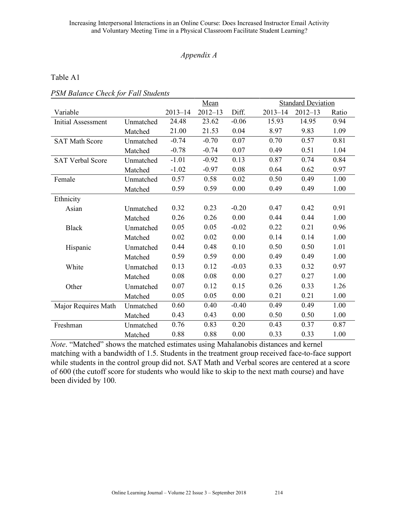## *Appendix A*

## Table A1

| PSM Balance Check for Fall Students |  |  |  |
|-------------------------------------|--|--|--|
|-------------------------------------|--|--|--|

|                           |           | Mean        |             |         | <b>Standard Deviation</b> |             |       |
|---------------------------|-----------|-------------|-------------|---------|---------------------------|-------------|-------|
| Variable                  |           | $2013 - 14$ | $2012 - 13$ | Diff.   | $2013 - 14$               | $2012 - 13$ | Ratio |
| <b>Initial Assessment</b> | Unmatched | 24.48       | 23.62       | $-0.06$ | 15.93                     | 14.95       | 0.94  |
|                           | Matched   | 21.00       | 21.53       | 0.04    | 8.97                      | 9.83        | 1.09  |
| <b>SAT Math Score</b>     | Unmatched | $-0.74$     | $-0.70$     | 0.07    | 0.70                      | 0.57        | 0.81  |
|                           | Matched   | $-0.78$     | $-0.74$     | 0.07    | 0.49                      | 0.51        | 1.04  |
| <b>SAT Verbal Score</b>   | Unmatched | $-1.01$     | $-0.92$     | 0.13    | 0.87                      | 0.74        | 0.84  |
|                           | Matched   | $-1.02$     | $-0.97$     | 0.08    | 0.64                      | 0.62        | 0.97  |
| Female                    | Unmatched | 0.57        | 0.58        | 0.02    | 0.50                      | 0.49        | 1.00  |
|                           | Matched   | 0.59        | 0.59        | 0.00    | 0.49                      | 0.49        | 1.00  |
| Ethnicity                 |           |             |             |         |                           |             |       |
| Asian                     | Unmatched | 0.32        | 0.23        | $-0.20$ | 0.47                      | 0.42        | 0.91  |
|                           | Matched   | 0.26        | 0.26        | 0.00    | 0.44                      | 0.44        | 1.00  |
| <b>Black</b>              | Unmatched | 0.05        | 0.05        | $-0.02$ | 0.22                      | 0.21        | 0.96  |
|                           | Matched   | 0.02        | 0.02        | 0.00    | 0.14                      | 0.14        | 1.00  |
| Hispanic                  | Unmatched | 0.44        | 0.48        | 0.10    | 0.50                      | 0.50        | 1.01  |
|                           | Matched   | 0.59        | 0.59        | 0.00    | 0.49                      | 0.49        | 1.00  |
| White                     | Unmatched | 0.13        | 0.12        | $-0.03$ | 0.33                      | 0.32        | 0.97  |
|                           | Matched   | 0.08        | 0.08        | 0.00    | 0.27                      | 0.27        | 1.00  |
| Other                     | Unmatched | 0.07        | 0.12        | 0.15    | 0.26                      | 0.33        | 1.26  |
|                           | Matched   | 0.05        | 0.05        | 0.00    | 0.21                      | 0.21        | 1.00  |
| Major Requires Math       | Unmatched | 0.60        | 0.40        | $-0.40$ | 0.49                      | 0.49        | 1.00  |
|                           | Matched   | 0.43        | 0.43        | 0.00    | 0.50                      | 0.50        | 1.00  |
| Freshman                  | Unmatched | 0.76        | 0.83        | 0.20    | 0.43                      | 0.37        | 0.87  |
|                           | Matched   | 0.88        | 0.88        | 0.00    | 0.33                      | 0.33        | 1.00  |

*Note*. "Matched" shows the matched estimates using Mahalanobis distances and kernel matching with a bandwidth of 1.5. Students in the treatment group received face-to-face support while students in the control group did not. SAT Math and Verbal scores are centered at a score of 600 (the cutoff score for students who would like to skip to the next math course) and have been divided by 100.